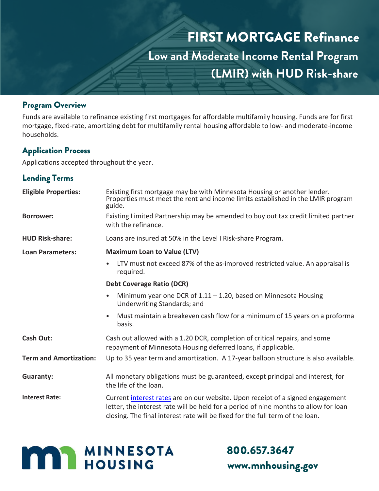

#### Program Overview

Funds are available to refinance existing first mortgages for affordable multifamily housing. Funds are for first mortgage, fixed-rate, amortizing debt for multifamily rental housing affordable to low- and moderate-income households.

## Application Process

Applications accepted throughout the year.

# Lending Terms

| <b>Eligible Properties:</b>   | Existing first mortgage may be with Minnesota Housing or another lender.<br>Properties must meet the rent and income limits established in the LMIR program<br>guide.                                                                                   |
|-------------------------------|---------------------------------------------------------------------------------------------------------------------------------------------------------------------------------------------------------------------------------------------------------|
| <b>Borrower:</b>              | Existing Limited Partnership may be amended to buy out tax credit limited partner<br>with the refinance.                                                                                                                                                |
| <b>HUD Risk-share:</b>        | Loans are insured at 50% in the Level I Risk-share Program.                                                                                                                                                                                             |
| <b>Loan Parameters:</b>       | <b>Maximum Loan to Value (LTV)</b>                                                                                                                                                                                                                      |
|                               | LTV must not exceed 87% of the as-improved restricted value. An appraisal is<br>required.                                                                                                                                                               |
|                               | <b>Debt Coverage Ratio (DCR)</b>                                                                                                                                                                                                                        |
|                               | Minimum year one DCR of $1.11 - 1.20$ , based on Minnesota Housing<br>Underwriting Standards; and                                                                                                                                                       |
|                               | Must maintain a breakeven cash flow for a minimum of 15 years on a proforma<br>basis.                                                                                                                                                                   |
| <b>Cash Out:</b>              | Cash out allowed with a 1.20 DCR, completion of critical repairs, and some<br>repayment of Minnesota Housing deferred loans, if applicable.                                                                                                             |
| <b>Term and Amortization:</b> | Up to 35 year term and amortization. A 17-year balloon structure is also available.                                                                                                                                                                     |
| <b>Guaranty:</b>              | All monetary obligations must be guaranteed, except principal and interest, for<br>the life of the loan.                                                                                                                                                |
| <b>Interest Rate:</b>         | Current interest rates are on our website. Upon receipt of a signed engagement<br>letter, the interest rate will be held for a period of nine months to allow for loan<br>closing. The final interest rate will be fixed for the full term of the loan. |



# 800.657.3647 www.mnhousing.gov